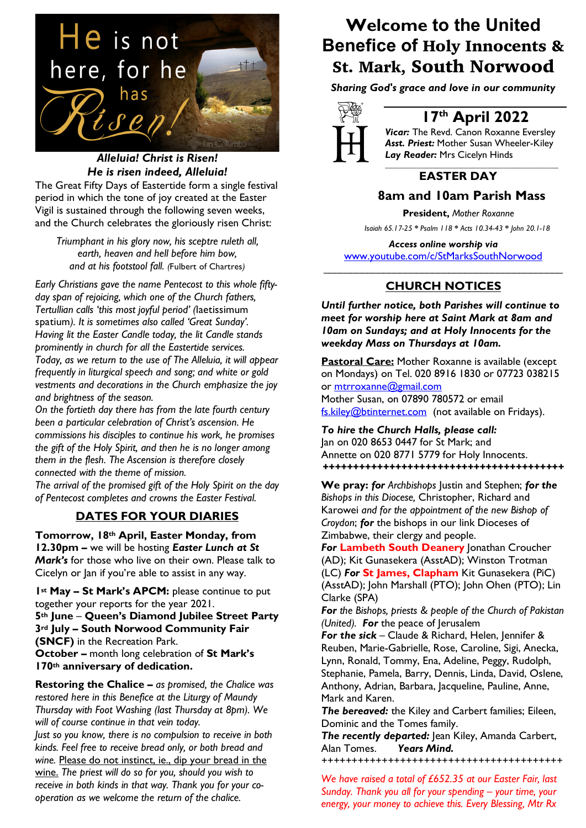

## *Alleluia! Christ is Risen! He is risen indeed, Alleluia!*

The Great Fifty Days of Eastertide form a single festival period in which the tone of joy created at the Easter Vigil is sustained through the following seven weeks, and the Church celebrates the gloriously risen Christ:

*Triumphant in his glory now, his sceptre ruleth all, earth, heaven and hell before him bow, and at his footstool fall. (*Fulbert of Chartres*)*

*Early Christians gave the name Pentecost to this whole fiftyday span of rejoicing, which one of the Church fathers, Tertullian calls 'this most joyful period' (*laetissimum spatium*). It is sometimes also called 'Great Sunday'. Having lit the Easter Candle today, the lit Candle stands prominently in church for all the Eastertide services. Today, as we return to the use of The Alleluia, it will appear frequently in liturgical speech and song; and white or gold vestments and decorations in the Church emphasize the joy and brightness of the season.*

*On the fortieth day there has from the late fourth century been a particular celebration of Christ's ascension. He commissions his disciples to continue his work, he promises the gift of the Holy Spirit, and then he is no longer among them in the flesh. The Ascension is therefore closely connected with the theme of mission.* 

*The arrival of the promised gift of the Holy Spirit on the day of Pentecost completes and crowns the Easter Festival.*

## **DATES FOR YOUR DIARIES**

**Tomorrow, 18th April, Easter Monday, from 12.30pm –** we will be hosting *Easter Lunch at St Mark's* for those who live on their own. Please talk to Cicelyn or Jan if you're able to assist in any way.

**1st May – St Mark's APCM:** please continue to put together your reports for the year 2021. **5th June** – **Queen's Diamond Jubilee Street Party 3rd July – South Norwood Community Fair (SNCF)** in the Recreation Park. **October –** month long celebration of **St Mark's** 

**170th anniversary of dedication.**

**Restoring the Chalice –** *as promised, the Chalice was restored here in this Benefice at the Liturgy of Maundy Thursday with Foot Washing (last Thursday at 8pm). We will of course continue in that vein today.*

*Just so you know, there is no compulsion to receive in both kinds. Feel free to receive bread only, or both bread and wine.* Please do not instinct, ie., dip your bread in the wine. *The priest will do so for you, should you wish to receive in both kinds in that way. Thank you for your cooperation as we welcome the return of the chalice.*

## **Welcome to the United Benefice of** Holy Innocents & St. Mark, South Norwood

*Sharing God's grace and love in our community*



## **17th April 2022**

*Vicar:* The Revd. Canon Roxanne Eversley *Asst. Priest:* Mother Susan Wheeler-Kiley *Lay Reader:* Mrs Cicelyn Hinds *\_\_\_\_\_\_\_\_\_\_\_\_\_\_\_\_\_\_\_\_\_\_\_\_\_\_\_\_\_\_\_\_\_\_\_\_\_\_\_\_\_\_\_\_*

## **EASTER DAY**

## **8am and 10am Parish Mass**

 **President,** *Mother Roxanne*

 *Isaiah 65.17-25 \* Psalm 118 \* Acts 10.34-43 \* John 20.1-18*

*Access online worship via* www.youtube.com/c/StMarksSouthNorwood \_\_\_\_\_\_\_\_\_\_\_\_\_\_\_\_\_\_\_\_\_\_\_\_\_\_\_\_\_\_\_\_\_\_\_\_\_\_\_\_\_\_\_\_

## **CHURCH NOTICES**

*Until further notice, both Parishes will continue to meet for worship here at Saint Mark at 8am and 10am on Sundays; and at Holy Innocents for the weekday Mass on Thursdays at 10am.* 

**Pastoral Care:** Mother Roxanne is available (except on Mondays) on Tel. 020 8916 1830 or 07723 038215 or mtrroxanne@gmail.com Mother Susan, on 07890 780572 or email fs.kiley@btinternet.com (not available on Fridays).

*To hire the Church Halls, please call:* Jan on 020 8653 0447 for St Mark; and Annette on 020 8771 5779 for Holy Innocents. *++++++++++++++++++++++++++++++++++++++++*

**We pray:** *for Archbishops* Justin and Stephen; *for the Bishops in this Diocese,* Christopher, Richard and Karowei *and for the appointment of the new Bishop of Croydon*; *for* the bishops in our link Dioceses of Zimbabwe, their clergy and people.

*For* **Lambeth South Deanery** Jonathan Croucher (AD); Kit Gunasekera (AsstAD); Winston Trotman (LC) *For* **St James, Clapham** Kit Gunasekera (PiC) (AsstAD); John Marshall (PTO); John Ohen (PTO); Lin Clarke (SPA)

*For the Bishops, priests & people of the Church of Pakistan (United). For* the peace of Jerusalem

*For the sick* – Claude & Richard, Helen, Jennifer & Reuben, Marie-Gabrielle, Rose, Caroline, Sigi, Anecka, Lynn, Ronald, Tommy, Ena, Adeline, Peggy, Rudolph, Stephanie, Pamela, Barry, Dennis, Linda, David, Oslene, Anthony, Adrian, Barbara, Jacqueline, Pauline, Anne, Mark and Karen.

*The bereaved:* the Kiley and Carbert families; Eileen, Dominic and the Tomes family.

*The recently departed:* Jean Kiley, Amanda Carbert, Alan Tomes. *Years Mind.*

*++++++++++++++++++++++++++++++++++++++++*

*We have raised a total of £652.35 at our Easter Fair, last Sunday. Thank you all for your spending – your time, your energy, your money to achieve this. Every Blessing, Mtr Rx*